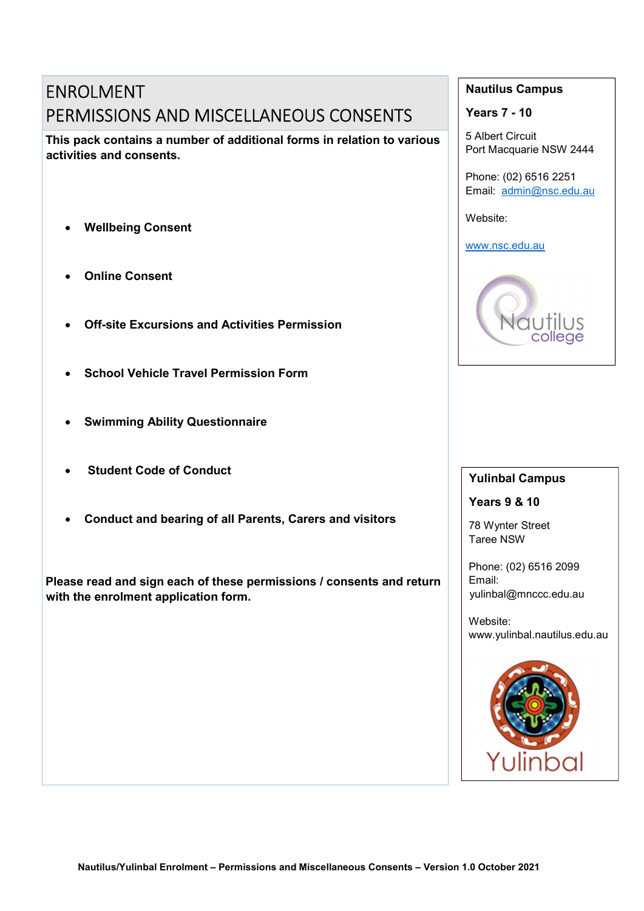# ENROLMENT PERMISSIONS AND MISCELLANEOUS CONSENTS

This pack contains a number of additional forms in relation to various activities and consents.

- Wellbeing Consent
- Online Consent
- Off-site Excursions and Activities Permission
- School Vehicle Travel Permission Form
- Swimming Ability Questionnaire
- Student Code of Conduct
- Conduct and bearing of all Parents, Carers and visitors

Please read and sign each of these permissions / consents and return with the enrolment application form.

## Nautilus Campus

Years 7 - 10

5 Albert Circuit Port Macquarie NSW 2444

Phone: (02) 6516 2251 Email: admin@nsc.edu.au

Website:

www.nsc.edu.au



## Yulinbal Campus

Years 9 & 10

78 Wynter Street Taree NSW

Phone: (02) 6516 2099 Email: yulinbal@mnccc.edu.au

Website: www.yulinbal.nautilus.edu.au

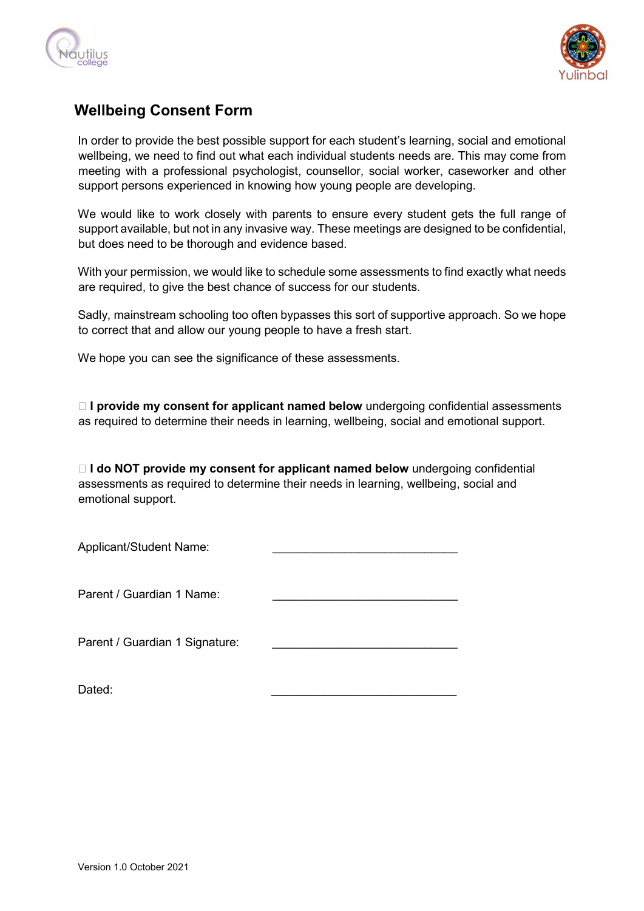



## Wellbeing Consent Form

In order to provide the best possible support for each student's learning, social and emotional wellbeing, we need to find out what each individual students needs are. This may come from meeting with a professional psychologist, counsellor, social worker, caseworker and other support persons experienced in knowing how young people are developing.

We would like to work closely with parents to ensure every student gets the full range of support available, but not in any invasive way. These meetings are designed to be confidential, but does need to be thorough and evidence based.

With your permission, we would like to schedule some assessments to find exactly what needs are required, to give the best chance of success for our students.

Sadly, mainstream schooling too often bypasses this sort of supportive approach. So we hope to correct that and allow our young people to have a fresh start.

We hope you can see the significance of these assessments.

 $\Box$  I provide my consent for applicant named below undergoing confidential assessments as required to determine their needs in learning, wellbeing, social and emotional support.

 $\Box$  I do NOT provide my consent for applicant named below undergoing confidential assessments as required to determine their needs in learning, wellbeing, social and emotional support.

| Applicant/Student Name:        |  |
|--------------------------------|--|
| Parent / Guardian 1 Name:      |  |
| Parent / Guardian 1 Signature: |  |

Dated: \_\_\_\_\_\_\_\_\_\_\_\_\_\_\_\_\_\_\_\_\_\_\_\_\_\_\_\_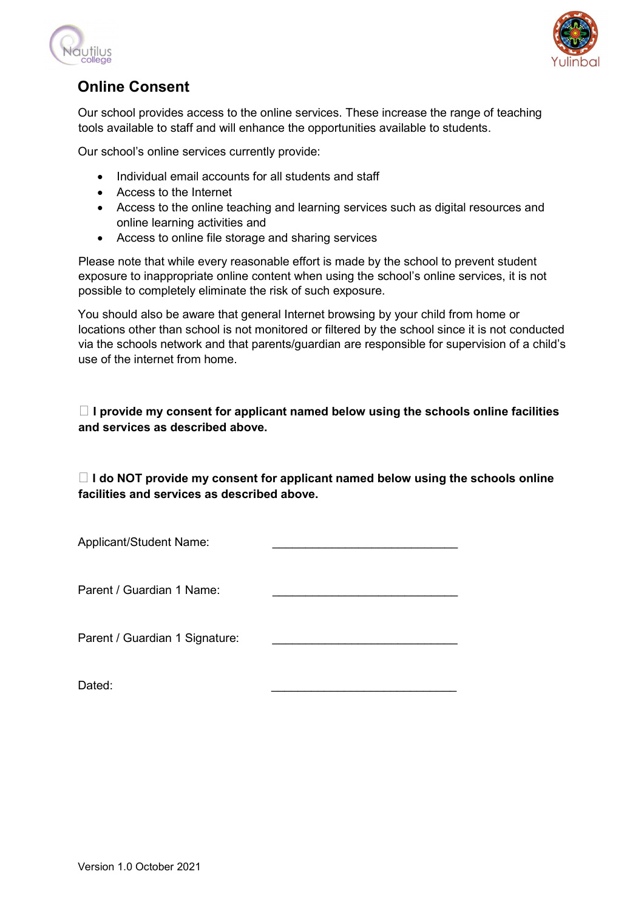



# Online Consent

Our school provides access to the online services. These increase the range of teaching tools available to staff and will enhance the opportunities available to students.

Our school's online services currently provide:

- Individual email accounts for all students and staff
- Access to the Internet
- Access to the online teaching and learning services such as digital resources and online learning activities and
- Access to online file storage and sharing services

Please note that while every reasonable effort is made by the school to prevent student exposure to inappropriate online content when using the school's online services, it is not possible to completely eliminate the risk of such exposure.

You should also be aware that general Internet browsing by your child from home or locations other than school is not monitored or filtered by the school since it is not conducted via the schools network and that parents/guardian are responsible for supervision of a child's use of the internet from home.

 $\Box$  I provide my consent for applicant named below using the schools online facilities and services as described above.

 $\Box$  I do NOT provide my consent for applicant named below using the schools online facilities and services as described above.

| Applicant/Student Name:        |  |
|--------------------------------|--|
| Parent / Guardian 1 Name:      |  |
| Parent / Guardian 1 Signature: |  |

Dated: \_\_\_\_\_\_\_\_\_\_\_\_\_\_\_\_\_\_\_\_\_\_\_\_\_\_\_\_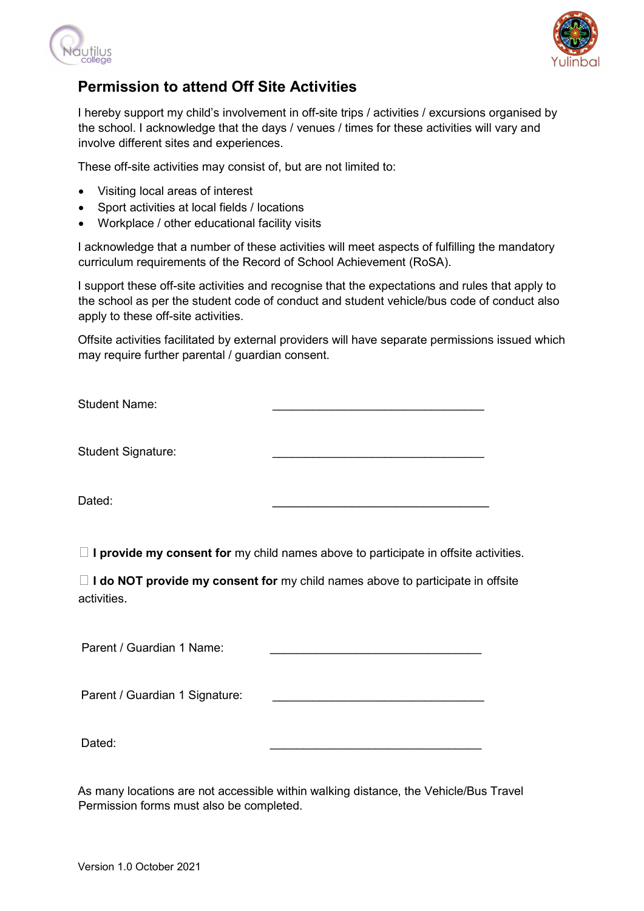



## Permission to attend Off Site Activities

I hereby support my child's involvement in off-site trips / activities / excursions organised by the school. I acknowledge that the days / venues / times for these activities will vary and involve different sites and experiences.

These off-site activities may consist of, but are not limited to:

- Visiting local areas of interest
- Sport activities at local fields / locations
- Workplace / other educational facility visits

I acknowledge that a number of these activities will meet aspects of fulfilling the mandatory curriculum requirements of the Record of School Achievement (RoSA).

I support these off-site activities and recognise that the expectations and rules that apply to the school as per the student code of conduct and student vehicle/bus code of conduct also apply to these off-site activities.

Offsite activities facilitated by external providers will have separate permissions issued which may require further parental / guardian consent.

| <b>Student Name:</b>      |  |
|---------------------------|--|
|                           |  |
|                           |  |
| <b>Student Signature:</b> |  |

Dated: \_\_\_\_\_\_\_\_\_\_\_\_\_\_\_\_\_\_\_\_\_\_\_\_\_\_\_\_\_\_

 $\Box$  I provide my consent for my child names above to participate in offsite activities.

 $\Box$  I do NOT provide my consent for my child names above to participate in offsite activities.

Parent / Guardian 1 Name:

Parent / Guardian 1 Signature:

Dated: \_\_\_\_\_\_\_\_\_\_\_\_\_\_\_\_\_\_\_\_\_\_\_\_\_\_\_\_\_\_\_\_

As many locations are not accessible within walking distance, the Vehicle/Bus Travel Permission forms must also be completed.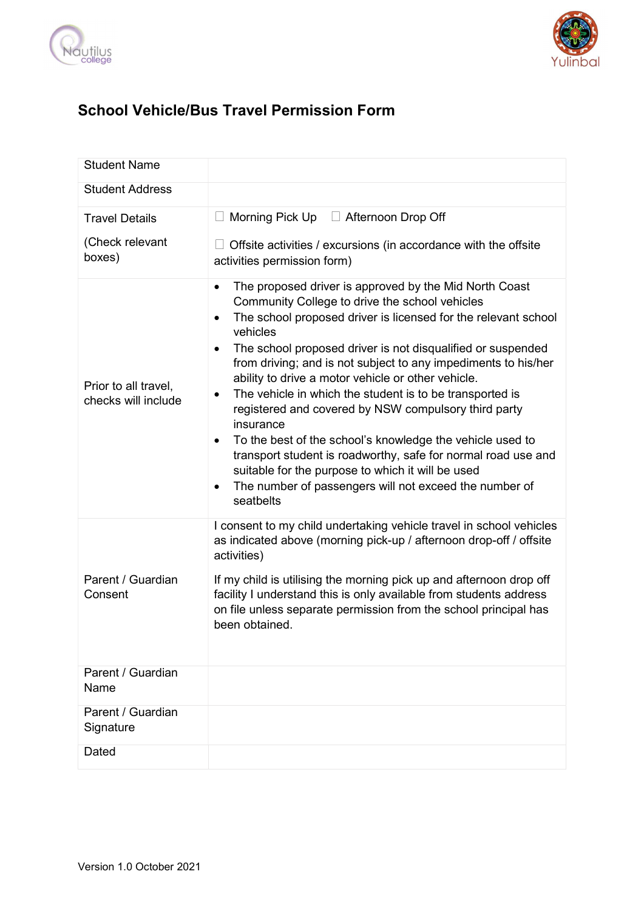



# School Vehicle/Bus Travel Permission Form

| <b>Student Name</b>                         |                                                                                                                                                                                                                                                                                                                                                                                                                                                                                                                                                                                                                                                                                                                                                                                                                |
|---------------------------------------------|----------------------------------------------------------------------------------------------------------------------------------------------------------------------------------------------------------------------------------------------------------------------------------------------------------------------------------------------------------------------------------------------------------------------------------------------------------------------------------------------------------------------------------------------------------------------------------------------------------------------------------------------------------------------------------------------------------------------------------------------------------------------------------------------------------------|
| <b>Student Address</b>                      |                                                                                                                                                                                                                                                                                                                                                                                                                                                                                                                                                                                                                                                                                                                                                                                                                |
| <b>Travel Details</b>                       | Morning Pick $Up$ $\Box$ Afternoon Drop Off<br>$\Box$                                                                                                                                                                                                                                                                                                                                                                                                                                                                                                                                                                                                                                                                                                                                                          |
| (Check relevant<br>boxes)                   | Offsite activities / excursions (in accordance with the offsite<br>activities permission form)                                                                                                                                                                                                                                                                                                                                                                                                                                                                                                                                                                                                                                                                                                                 |
| Prior to all travel,<br>checks will include | The proposed driver is approved by the Mid North Coast<br>٠<br>Community College to drive the school vehicles<br>The school proposed driver is licensed for the relevant school<br>$\bullet$<br>vehicles<br>The school proposed driver is not disqualified or suspended<br>٠<br>from driving; and is not subject to any impediments to his/her<br>ability to drive a motor vehicle or other vehicle.<br>The vehicle in which the student is to be transported is<br>٠<br>registered and covered by NSW compulsory third party<br>insurance<br>To the best of the school's knowledge the vehicle used to<br>٠<br>transport student is roadworthy, safe for normal road use and<br>suitable for the purpose to which it will be used<br>The number of passengers will not exceed the number of<br>٠<br>seatbelts |
| Parent / Guardian<br>Consent                | I consent to my child undertaking vehicle travel in school vehicles<br>as indicated above (morning pick-up / afternoon drop-off / offsite<br>activities)<br>If my child is utilising the morning pick up and afternoon drop off<br>facility I understand this is only available from students address<br>on file unless separate permission from the school principal has<br>been obtained.                                                                                                                                                                                                                                                                                                                                                                                                                    |
| Parent / Guardian<br>Name                   |                                                                                                                                                                                                                                                                                                                                                                                                                                                                                                                                                                                                                                                                                                                                                                                                                |
| Parent / Guardian<br>Signature              |                                                                                                                                                                                                                                                                                                                                                                                                                                                                                                                                                                                                                                                                                                                                                                                                                |
| Dated                                       |                                                                                                                                                                                                                                                                                                                                                                                                                                                                                                                                                                                                                                                                                                                                                                                                                |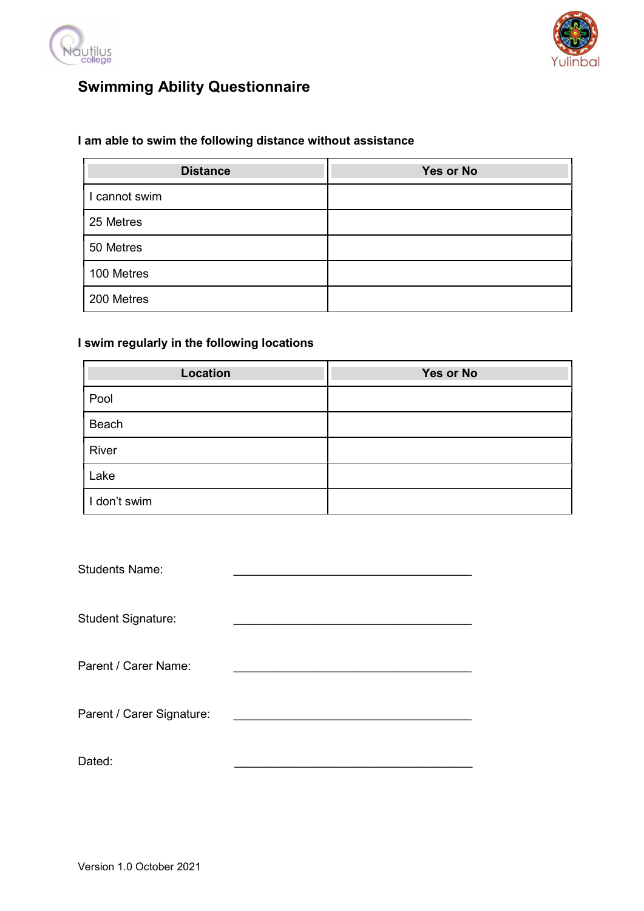



# Swimming Ability Questionnaire

## I am able to swim the following distance without assistance

| <b>Distance</b> | <b>Yes or No</b> |
|-----------------|------------------|
| I cannot swim   |                  |
| 25 Metres       |                  |
| 50 Metres       |                  |
| 100 Metres      |                  |
| 200 Metres      |                  |

## I swim regularly in the following locations

| <b>Location</b> | Yes or No |
|-----------------|-----------|
| Pool            |           |
| Beach           |           |
| River           |           |
| Lake            |           |
| I don't swim    |           |

| <b>Students Name:</b>     |  |
|---------------------------|--|
| <b>Student Signature:</b> |  |
| Parent / Carer Name:      |  |
| Parent / Carer Signature: |  |
| Dated:                    |  |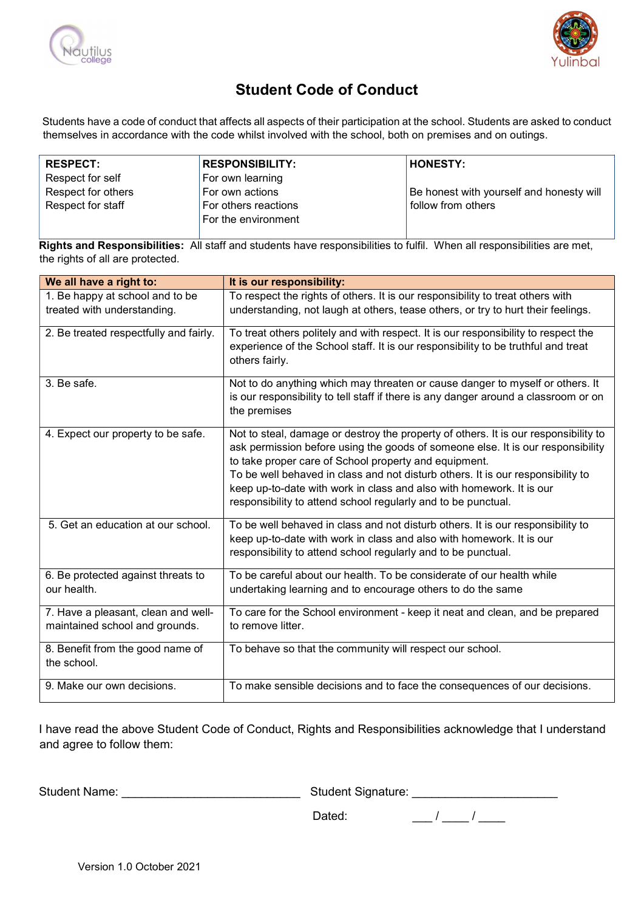



## Student Code of Conduct

Students have a code of conduct that affects all aspects of their participation at the school. Students are asked to conduct themselves in accordance with the code whilst involved with the school, both on premises and on outings.

| <b>RESPECT:</b>    | <b>RESPONSIBILITY:</b> | <b>HONESTY:</b>                          |
|--------------------|------------------------|------------------------------------------|
| Respect for self   | For own learning       |                                          |
| Respect for others | For own actions        | Be honest with yourself and honesty will |
| Respect for staff  | For others reactions l | follow from others                       |
|                    | For the environment    |                                          |

**Rights and Responsibilities:** All staff and students have responsibilities to fulfil. When all responsibilities are met, the rights of all are protected.

| We all have a right to:                                               | It is our responsibility:                                                                                                                                                                                                                                                                                                                                                                                                                                   |
|-----------------------------------------------------------------------|-------------------------------------------------------------------------------------------------------------------------------------------------------------------------------------------------------------------------------------------------------------------------------------------------------------------------------------------------------------------------------------------------------------------------------------------------------------|
| 1. Be happy at school and to be<br>treated with understanding.        | To respect the rights of others. It is our responsibility to treat others with<br>understanding, not laugh at others, tease others, or try to hurt their feelings.                                                                                                                                                                                                                                                                                          |
| 2. Be treated respectfully and fairly.                                | To treat others politely and with respect. It is our responsibility to respect the<br>experience of the School staff. It is our responsibility to be truthful and treat<br>others fairly.                                                                                                                                                                                                                                                                   |
| 3. Be safe.                                                           | Not to do anything which may threaten or cause danger to myself or others. It<br>is our responsibility to tell staff if there is any danger around a classroom or on<br>the premises                                                                                                                                                                                                                                                                        |
| 4. Expect our property to be safe.                                    | Not to steal, damage or destroy the property of others. It is our responsibility to<br>ask permission before using the goods of someone else. It is our responsibility<br>to take proper care of School property and equipment.<br>To be well behaved in class and not disturb others. It is our responsibility to<br>keep up-to-date with work in class and also with homework. It is our<br>responsibility to attend school regularly and to be punctual. |
| 5. Get an education at our school.                                    | To be well behaved in class and not disturb others. It is our responsibility to<br>keep up-to-date with work in class and also with homework. It is our<br>responsibility to attend school regularly and to be punctual.                                                                                                                                                                                                                                    |
| 6. Be protected against threats to<br>our health.                     | To be careful about our health. To be considerate of our health while<br>undertaking learning and to encourage others to do the same                                                                                                                                                                                                                                                                                                                        |
| 7. Have a pleasant, clean and well-<br>maintained school and grounds. | To care for the School environment - keep it neat and clean, and be prepared<br>to remove litter.                                                                                                                                                                                                                                                                                                                                                           |
| 8. Benefit from the good name of<br>the school.                       | To behave so that the community will respect our school.                                                                                                                                                                                                                                                                                                                                                                                                    |
| 9. Make our own decisions.                                            | To make sensible decisions and to face the consequences of our decisions.                                                                                                                                                                                                                                                                                                                                                                                   |

I have read the above Student Code of Conduct, Rights and Responsibilities acknowledge that I understand and agree to follow them:

Student Name: \_\_\_\_\_\_\_\_\_\_\_\_\_\_\_\_\_\_\_\_\_\_\_\_\_\_\_ Student Signature: \_\_\_\_\_\_\_\_\_\_\_\_\_\_\_\_\_\_\_\_\_\_

Dated:  $\frac{1}{2}$  /  $\frac{1}{2}$  /  $\frac{1}{2}$